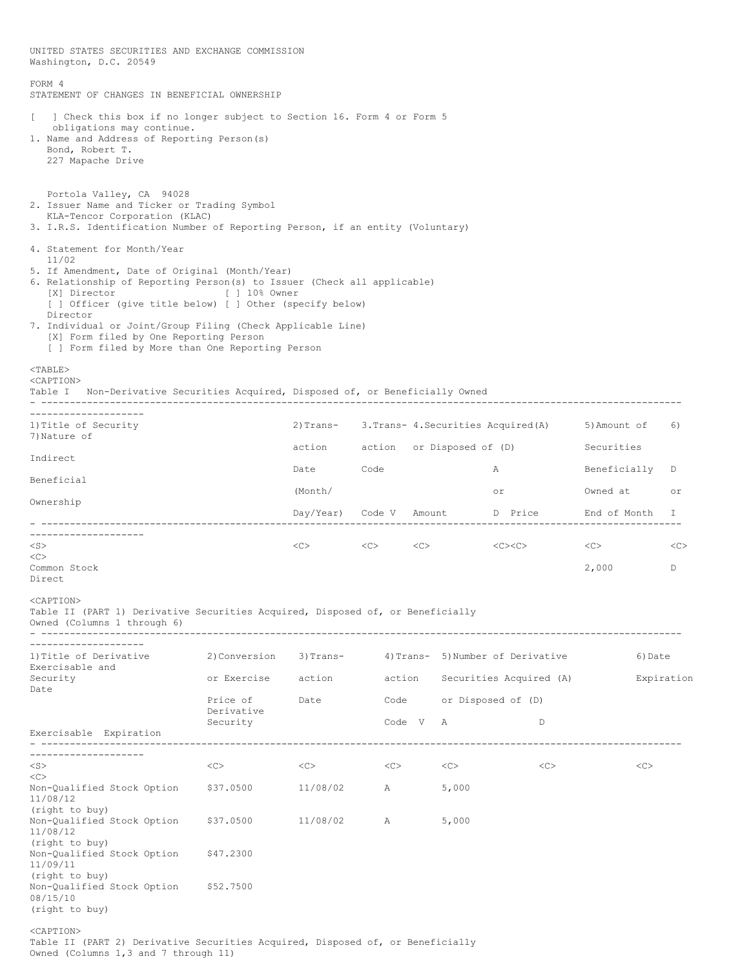UNITED STATES SECURITIES AND EXCHANGE COMMISSION Washington, D.C. 20549 FORM 4 STATEMENT OF CHANGES IN BENEFICIAL OWNERSHIP [ ] Check this box if no longer subject to Section 16. Form 4 or Form 5 obligations may continue. 1. Name and Address of Reporting Person(s) Bond, Robert T. 227 Mapache Drive Portola Valley, CA 94028 2. Issuer Name and Ticker or Trading Symbol KLA-Tencor Corporation (KLAC) 3. I.R.S. Identification Number of Reporting Person, if an entity (Voluntary) 4. Statement for Month/Year 11/02 5. If Amendment, Date of Original (Month/Year) 6. Relationship of Reporting Person(s) to Issuer (Check all applicable) [X] Director [ ] 10% Owner [ ] Officer (give title below) [ ] Other (specify below) Director 7. Individual or Joint/Group Filing (Check Applicable Line) [X] Form filed by One Reporting Person [ ] Form filed by More than One Reporting Person <TABLE> <CAPTION> Table I Non-Derivative Securities Acquired, Disposed of, or Beneficially Owned - ---------------------------------------------------------------------------------------------------------------- -------------------- 1)Title of Security 2)Trans- 3.Trans- 4.Securities Acquired(A) 5)Amount of 6) 7) Nature of action action or Disposed of (D) Securities Indirect Date Code **A** Beneficially D Beneficial (Month/ or Owned at or Ownership Day/Year) Code V Amount D Price End of Month I - ---------------------------------------------------------------------------------------------------------------- -------------------<br><S>  $\langle C \rangle$   $\langle C \rangle$   $\langle C \rangle$   $\langle C \rangle$   $\langle C \rangle$   $\langle C \rangle$   $\langle C \rangle$   $\langle C \rangle$  $\langle C \rangle$ Common Stock 2,000 D Direct <CAPTION> Table II (PART 1) Derivative Securities Acquired, Disposed of, or Beneficially Owned (Columns 1 through 6) - ---------------------------------------------------------------------------------------------------------------- -------------------- 1)Title of Derivative 2)Conversion 3)Trans- 4)Trans- 5)Number of Derivative 6)Date Exercisable and<br>Security or Exercise action action Securities Acquired (A) Bxpiration Date Price of Date Code or Disposed of (D) Derivative Security Code V A D Exercisable Expiration - ---------------------------------------------------------------------------------------------------------------- -------------------- <S> <C> <C> <C> <C> <C> <C>  $<$ Non-Qualified Stock Option \$37.0500 11/08/02 A 5,000 11/08/12 (right to buy) Non-Qualified Stock Option \$37.0500 11/08/02 A 5,000 11/08/12 (right to buy) Non-Qualified Stock Option \$47.2300 11/09/11 (right to buy) Non-Qualified Stock Option \$52.7500 08/15/10 (right to buy) <CAPTION> Table II (PART 2) Derivative Securities Acquired, Disposed of, or Beneficially Owned (Columns 1,3 and 7 through 11)